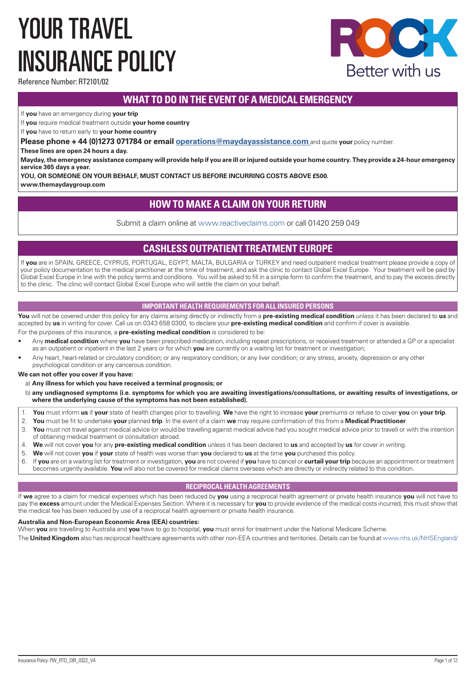# YOUR TRAVEL INSURANCE POLICY



Reference Number: RT2101/02

# **WHAT TO DO IN THE EVENT OF A MEDICAL EMERGENCY**

If **you** have an emergency during **your trip**

If **you** require medical treatment outside **your home country**

If **you** have to return early to **your home country**

**Please phone + 44 (0)1273 071784 or email operations@maydayassistance.com** and quote **your** policy number.

**These lines are open 24 hours a day.** 

**Mayday, the emergency assistance company will provide help if you are ill or injured outside your home country. They provide a 24-hour emergency service 365 days a year.**

**YOU, OR SOMEONE ON YOUR BEHALF, MUST CONTACT US BEFORE INCURRING COSTS ABOVE £500.**

**www.themaydaygroup.com**

# **HOW TO MAKE A CLAIM ON YOUR RETURN**

Submit a claim online at www.reactiveclaims.com or call 01420 259 049

# **CASHLESS OUTPATIENT TREATMENT EUROPE**

If **you** are in SPAIN, GREECE, CYPRUS, PORTUGAL, EGYPT, MALTA, BULGARIA or TURKEY and need outpatient medical treatment please provide a copy of your policy documentation to the medical practitioner at the time of treatment, and ask the clinic to contact Global Excel Europe. Your treatment will be paid by Global Excel Europe in line with the policy terms and conditions. You will be asked to fill in a simple form to confirm the treatment, and to pay the excess directly to the clinic. The clinic will contact Global Excel Europe who will settle the claim on your behalf.

# **IMPORTANT HEALTH REQUIREMENTS FOR ALL INSURED PERSONS**

**You** will not be covered under this policy for any claims arising directly or indirectly from a **pre-existing medical condition** unless it has been declared to **us** and accepted by **us** in writing for cover. Call us on 0343 658 0300, to declare your **pre-existing medical condition** and confirm if cover is available.

For the purposes of this insurance, a **pre-existing medical condition** is considered to be:

- Any **medical condition** where **you** have been prescribed medication, including repeat prescriptions, or received treatment or attended a GP or a specialist as an outpatient or inpatient in the last 2 years or for which **you** are currently on a waiting list for treatment or investigation;
- Any heart, heart-related or circulatory condition; or any respiratory condition; or any liver condition; or any stress, anxiety, depression or any other psychological condition or any cancerous condition.

**We can not offer you cover if you have:**

a) **Any illness for which you have received a terminal prognosis; or**

- b) **any undiagnosed symptoms (i.e. symptoms for which you are awaiting investigations/consultations, or awaiting results of investigations, or where the underlying cause of the symptoms has not been established).**
- 1. **You** must inform **us** if **your** state of health changes prior to travelling. **We** have the right to increase **your** premiums or refuse to cover **you** on **your trip**.
- 2. **You** must be fit to undertake **your** planned **trip**. In the event of a claim **we** may require confirmation of this from a **Medical Practitioner**.
- 3. **You** must not travel against medical advice (or would be travelling against medical advice had you sought medical advice prior to travel) or with the intention of obtaining medical treatment or consultation abroad.
- 4. **We** will not cover **you** for any **pre-existing medical condition** unless it has been declared to **us** and accepted by **us** for cover in writing.
- 5. **We** will not cover **you** if **your** state of health was worse than **you** declared to **us** at the time **you** purchased this policy.
- 6. If **you** are on a waiting list for treatment or investigation, **you** are not covered if **you** have to cancel or **curtail your trip** because an appointment or treatment becomes urgently available. **You** will also not be covered for medical claims overseas which are directly or indirectly related to this condition.

# **RECIPROCAL HEALTH AGREEMENTS**

If **we** agree to a claim for medical expenses which has been reduced by **you** using a reciprocal health agreement or private health insurance **you** will not have to pay the **excess** amount under the Medical Expenses Section. Where it is necessary for **you** to provide evidence of the medical costs incurred, this must show that the medical fee has been reduced by use of a reciprocal health agreement or private health insurance.

## **Australia and Non-European Economic Area (EEA) countries:**

When **you** are travelling to Australia and **you** have to go to hospital, **you** must enrol for treatment under the National Medicare Scheme.

The **United Kingdom** also has reciprocal healthcare agreements with other non-EEA countries and territories. Details can be found at www.nhs.uk/NHSEngland/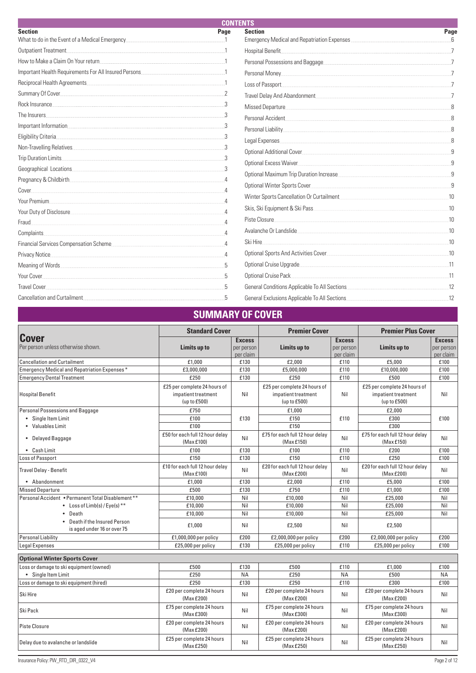| <b>CONTENTS</b>                                                                                                 |                 |                                                                                              |      |  |  |
|-----------------------------------------------------------------------------------------------------------------|-----------------|----------------------------------------------------------------------------------------------|------|--|--|
| <b>Section</b>                                                                                                  | Page            | <b>Section</b>                                                                               | Page |  |  |
| What to do in the Event of a Medical Emergency                                                                  |                 | Emergency Medical and Repatriation Expenses <b>Construction</b> Expenses <b>Construction</b> |      |  |  |
| Outpatient Treatment.                                                                                           |                 | Hospital Benefit                                                                             |      |  |  |
| How to Make a Claim On Your return 100 and 200 million 100 million 100 million 100 million 100 million 100 mill |                 | Personal Possessions and Baggage                                                             |      |  |  |
| Important Health Requirements For All Insured Persons                                                           |                 | Personal Money                                                                               |      |  |  |
|                                                                                                                 |                 | Loss of Passport                                                                             |      |  |  |
|                                                                                                                 |                 | Travel Delay And Abandonment                                                                 |      |  |  |
| Rock Insurance                                                                                                  |                 | Missed Departure                                                                             |      |  |  |
| The Insurers                                                                                                    |                 | Personal Accident                                                                            |      |  |  |
| Important Information                                                                                           |                 |                                                                                              |      |  |  |
| Eligibility Criteria                                                                                            |                 | Legal Expenses                                                                               |      |  |  |
| Non-Travelling Relatives                                                                                        |                 |                                                                                              |      |  |  |
| Trip Duration Limits                                                                                            |                 | Optional Excess Waiver                                                                       |      |  |  |
| Geographical Locations                                                                                          |                 |                                                                                              |      |  |  |
| Pregnancy & Childbirth                                                                                          |                 | Optional Maximum Trip Duration Increase                                                      |      |  |  |
| Cover                                                                                                           |                 |                                                                                              |      |  |  |
| Your Premium                                                                                                    |                 | Winter Sports Cancellation Or Curtailment                                                    | 10   |  |  |
|                                                                                                                 |                 | Skis, Ski Equipment & Ski Pass                                                               | .10  |  |  |
| Fraud                                                                                                           |                 | Piste Closure                                                                                | 10   |  |  |
| Complaints.                                                                                                     |                 | Avalanche Or Landslide                                                                       | .10  |  |  |
| Financial Services Compensation Scheme                                                                          |                 | Ski Hire                                                                                     | 10   |  |  |
| Privacy Notice                                                                                                  | $\Delta$        | Optional Sports And Activities Cover                                                         | .10  |  |  |
|                                                                                                                 | $5\overline{5}$ | Optional Cruise Upgrade                                                                      | -11  |  |  |
| Your Cover                                                                                                      | $\overline{5}$  | Optional Cruise Pack                                                                         | 11   |  |  |
| <b>Travel Cover</b>                                                                                             |                 | General Conditions Applicable To All Sections                                                |      |  |  |
| Cancellation and Curtailment                                                                                    | 5               | General Exclusions Applicable To All Sections                                                | .12  |  |  |

# **SUMMARY OF COVER**

|                                                              | <b>Standard Cover</b>                                               |                                          | <b>Premier Cover</b>                                                |                                          | <b>Premier Plus Cover</b>                                           |                                          |
|--------------------------------------------------------------|---------------------------------------------------------------------|------------------------------------------|---------------------------------------------------------------------|------------------------------------------|---------------------------------------------------------------------|------------------------------------------|
| <b>Cover</b><br>Per person unless otherwise shown.           | Limits up to                                                        | <b>Excess</b><br>per person<br>per claim | Limits up to                                                        | <b>Excess</b><br>per person<br>per claim | Limits up to                                                        | <b>Excess</b><br>per person<br>per claim |
| <b>Cancellation and Curtailment</b>                          | £1,000                                                              | £130                                     | £2,000                                                              | £110                                     | £5,000                                                              | £100                                     |
| Emergency Medical and Repatriation Expenses*                 | £3,000,000                                                          | £130                                     | £5,000,000                                                          | £110                                     | £10,000,000                                                         | £100                                     |
| <b>Emergency Dental Treatment</b>                            | £250                                                                | £130                                     | £250                                                                | £110                                     | £500                                                                | £100                                     |
| <b>Hospital Benefit</b>                                      | £25 per complete 24 hours of<br>impatient treatment<br>(up to £500) | Nil                                      | £25 per complete 24 hours of<br>impatient treatment<br>(up to £500) | Nil                                      | £25 per complete 24 hours of<br>impatient treatment<br>(up to £500) | Nil                                      |
| Personal Possessions and Baggage                             | £750                                                                |                                          | £1,000                                                              |                                          | £2,000                                                              |                                          |
| • Single Item Limit                                          | £100                                                                | £130                                     | £150                                                                | £110                                     | £300                                                                | £100                                     |
| • Valuables Limit                                            | £100                                                                |                                          | £150                                                                |                                          | £300                                                                |                                          |
| • Delayed Baggage                                            | £50 for each full 12 hour delay<br>(Max £100)                       | Nil                                      | £75 for each full 12 hour delay<br>(Max£150)                        | Nil                                      | £75 for each full 12 hour delay<br>(Max £150)                       | Nil                                      |
| • Cash Limit                                                 | £100                                                                | £130                                     | £100                                                                | £110                                     | £200                                                                | £100                                     |
| Loss of Passport                                             | £150                                                                | £130                                     | £150                                                                | £110                                     | £250                                                                | £100                                     |
| Travel Delay - Benefit                                       | £10 for each full 12 hour delay<br>(Max £100)                       | Nil                                      | £20 for each full 12 hour delay<br>(Max £200)                       | Nil                                      | £20 for each full 12 hour delay<br>(Max £200)                       | Nil                                      |
| • Abandonment                                                | £1.000                                                              | £130                                     | £2,000                                                              | £110                                     | £5,000                                                              | £100                                     |
| <b>Missed Departure</b>                                      | £500                                                                | £130                                     | £750                                                                | £110                                     | £1,000                                                              | £100                                     |
| Personal Accident . Permanent Total Disablement **           | £10,000                                                             | Nil                                      | £10.000                                                             | Nil                                      | £25.000                                                             | Nil                                      |
| • Loss of $Limb(s)/Eye(s)$ <sup>**</sup>                     | £10,000                                                             | Nil                                      | £10,000                                                             | Nil                                      | £25,000                                                             | Nil                                      |
| • Death                                                      | £10,000                                                             | Nil                                      | £10,000                                                             | Nil                                      | £25,000                                                             | Nil                                      |
| • Death if the Insured Person<br>is aged under 16 or over 75 | £1,000                                                              | Nil                                      | £2,500                                                              | Nil                                      | £2,500                                                              |                                          |
| <b>Personal Liability</b>                                    | £1,000,000 per policy                                               | £200                                     | £2,000,000 per policy                                               | £200                                     | £2,000,000 per policy                                               | £200                                     |
| <b>Legal Expenses</b>                                        | £25,000 per policy                                                  | £130                                     | £25,000 per policy                                                  | £110                                     | £25,000 per policy                                                  | £100                                     |
| <b>Optional Winter Sports Cover</b>                          |                                                                     |                                          |                                                                     |                                          |                                                                     |                                          |
| Loss or damage to ski equipment (owned)                      | £500                                                                | £130                                     | £500                                                                | £110                                     | £1,000                                                              | £100                                     |
| • Single Item Limit                                          | £250                                                                | <b>NA</b>                                | £250                                                                | <b>NA</b>                                | £500                                                                | <b>NA</b>                                |
| Loss or damage to ski equipment (hired)                      | £250                                                                | £130                                     | £250                                                                | £110                                     | £300                                                                | £100                                     |
| Ski Hire                                                     | £20 per complete 24 hours<br>(Max £200)                             | Nil                                      | £20 per complete 24 hours<br>(Max £200)                             | Nil                                      | £20 per complete 24 hours<br>(Max £200)                             | Nil                                      |
| Ski Pack                                                     | £75 per complete 24 hours<br>(Max £300)                             | Nil                                      | £75 per complete 24 hours<br>(Max £300)                             | Nil                                      | £75 per complete 24 hours<br>(Max £300)                             | Nil                                      |
| Piste Closure                                                | £20 per complete 24 hours<br>(Max £200)                             | Nil                                      | £20 per complete 24 hours<br>(Max £200)                             | Nil                                      | £20 per complete 24 hours<br>(Max £200)                             | Nil                                      |
| Delay due to avalanche or landslide                          | £25 per complete 24 hours<br>(Max £250)                             | Nil                                      | £25 per complete 24 hours<br>(MaxE250)                              | Nil                                      | £25 per complete 24 hours<br>(Max £250)                             | Nil                                      |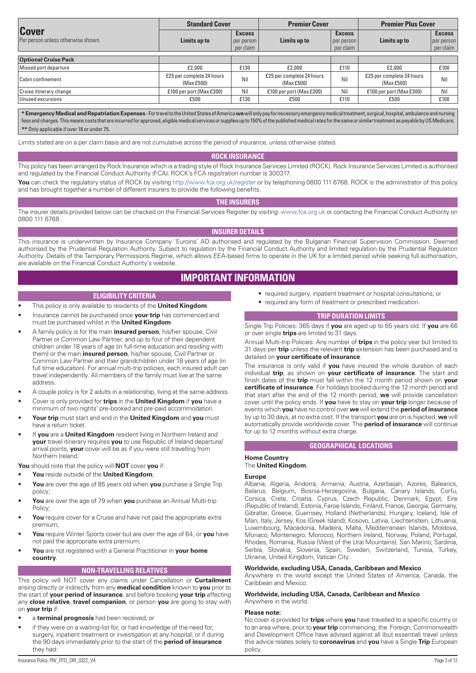|                                                    | <b>Standard Cover</b>                    |                                            | <b>Premier Cover</b>                    |                                          | <b>Premier Plus Cover</b>               |                                          |
|----------------------------------------------------|------------------------------------------|--------------------------------------------|-----------------------------------------|------------------------------------------|-----------------------------------------|------------------------------------------|
| <b>Cover</b><br>Per person unless otherwise shown. | Limits up to                             | <b>Excess</b><br>per person  <br>per claim | Limits up to                            | <b>Excess</b><br>per person<br>per claim | Limits up to                            | <b>Excess</b><br>per person<br>per claim |
| <b>Optional Cruise Pack</b>                        |                                          |                                            |                                         |                                          |                                         |                                          |
| Missed port departure                              | £2,000                                   | £130                                       | £2,000                                  | £110                                     | £2,000                                  | £100                                     |
| Cabin confinement                                  | £25 per complete 24 hours.<br>(Max £500) | Nil                                        | £25 per complete 24 hours<br>(Max £500) | Nil.                                     | £25 per complete 24 hours<br>(Max £500) | <b>Nil</b>                               |
| Cruise itinerary change                            | £100 per port (Max £300).                | Nil.                                       | £100 per port (Max £300)                | Nil.                                     | £100 per port (Max £300)                | Nil.                                     |
| Unused excursions                                  | £500                                     | £130                                       | £500                                    | £110                                     | £500                                    | £100                                     |

**\* Emergency Medical and Repatriation Expenses** - For travel to the United States of America **we** will only pay for necessary emergency medical treatment, surgical, hospital, ambulance and nursing fees and charges. This means costs that are incurred for approved, eligible medical services or supplies up to 150% of the published medical rates for the same or similar treatment as payable by US Medicare. **\*\*** Only applicable if over 16 or under 75.

Limits stated are on a per claim basis and are not cumulative across the period of insurance, unless otherwise stated.

#### **ROCK INSURANCE**

This policy has been arranged by Rock Insurance which is a trading style of Rock Insurance Services Limited (ROCK). Rock Insurance Services Limited is authorised and regulated by the Financial Conduct Authority (FCA). ROCK's FCA registration number is 300317.

You can check the regulatory status of ROCK by visiting http://www.fca.org.uk/register or by telephoning 0800 111 6768. ROCK is the administrator of this policy and has brought together a number of different insurers to provide the following benefits.

#### **THE INSURERS**

The insurer details provided below can be checked on the Financial Services Register by visiting: www.fca.org.uk or contacting the Financial Conduct Authority on 0800 111 6768.

## **INSURER DETAILS**

This insurance is underwritten by Insurance Company `Euroins' AD authorised and regulated by the Bulgarian Financial Supervision Commission. Deemed authorised by the Prudential Regulation Authority. Subject to regulation by the Financial Conduct Authority and limited regulation by the Prudential Regulation Authority. Details of the Temporary Permissions Regime, which allows EEA-based firms to operate in the UK for a limited period while seeking full authorisation, are available on the Financial Conduct Authority's website.

# **IMPORTANT INFORMATION**

#### **ELIGIBILITY CRITERIA**

- This policy is only available to residents of the **United Kingdom**.
- Insurance cannot be purchased once **your trip** has commenced and must be purchased whilst in the **United Kingdom**.
- A family policy is for the main **insured person**, his/her spouse, Civil Partner or Common Law Partner, and up to four of their dependent children under 18 years of age (in full-time education and residing with them) or the main **insured person**, his/her spouse, Civil Partner or Common Law Partner and their grandchildren under 18 years of age (in full time education). For annual multi-trip policies, each insured adult can travel independently. All members of the family must live at the same address.
- A couple policy is for 2 adults in a relationship, living at the same address.
- Cover is only provided for **trips** in the **United Kingdom** if **you** have a minimum of two nights' pre-booked and pre-paid accommodation.
- **Your trip** must start and end in the **United Kingdom** and **you** must have a return ticket.
- If **you** are a **United Kingdom** resident living in Northern Ireland and **your** travel itinerary requires **you** to use Republic of Ireland departure/ arrival points, **your** cover will be as if you were still travelling from Northern Ireland.

**You** should note that the policy will **NOT** cover **you** if:

- **You** reside outside of the **United Kingdom**;
- **You** are over the age of 85 years old when **you** purchase a Single Trip policy;
- **You** are over the age of 79 when **you** purchase an Annual Multi-trip Policy;
- You require cover for a Cruise and have not paid the appropriate extra premium;
- **You** require Winter Sports cover but are over the age of 64, or **you** have not paid the appropriate extra premium;
- **You** are not registered with a General Practitioner in **your home country**.

#### **NON-TRAVELLING RELATIVES**

This policy will NOT cover any claims under Cancellation or **Curtailment** arising directly or indirectly from any **medical condition** known to **you** prior to the start of **your period of insurance**, and before booking **your trip** affecting any **close relative**, **travel companion**, or person **you** are going to stay with on **your trip** if:

- a **terminal prognosis** had been received; or
- if they were on a waiting-list for, or had knowledge of the need for, surgery, inpatient treatment or investigation at any hospital; or if during the 90 days immediately prior to the start of the **period of insurance** they had:
- required surgery, inpatient treatment or hospital consultations; or
- required any form of treatment or prescribed medication.

#### **TRIP DURATION LIMITS**

Single Trip Policies: 365 days if **you** are aged up to 65 years old. If **you** are 66 or over single **trips** are limited to 31 days.

Annual Multi-trip Policies: Any number of **trips** in the policy year but limited to 31 days per **trip** unless the relevant **trip** extension has been purchased and is detailed on **your certificate of insurance**.

The insurance is only valid if **you** have insured the whole duration of each individual **trip**, as shown on **your certificate of insurance**. The start and finish dates of the **trip** must fall within the 12 month period shown on **your certificate of insurance**. For holidays booked during the 12 month period and that start after the end of the 12 month period, **we** will provide cancellation cover until the policy ends. If **you** have to stay on **your trip** longer because of events which **you** have no control over **we** will extend the **period of insurance** by up to 30 days, at no extra cost. If the transport **you** are on is hijacked, **we** will automatically provide worldwide cover. The **period of insurance** will continue for up to 12 months without extra charge.

#### **GEOGRAPHICAL LOCATIONS**

# **Home Country**

#### The **United Kingdom**.

#### **Europe**

Albania, Algeria, Andorra, Armenia, Austria, Azerbaijan, Azores, Balearics, Belarus, Belgium, Bosnia-Herzegovina, Bulgaria, Canary Islands, Corfu, Corsica, Crete, Croatia, Cyprus, Czech Republic, Denmark, Egypt, Eire (Republic of Ireland), Estonia, Faroe Islands, Finland, France, Georgia, Germany, Gibraltar, Greece, Guernsey, Holland (Netherlands), Hungary, Iceland, Isle of Man, Italy, Jersey, Kos (Greek Island), Kosovo, Latvia, Liechtenstein, Lithuania, Luxembourg, Macedonia, Madeira, Malta, Mediterranean Islands, Moldova, Monaco, Montenegro, Morocco, Northern Ireland, Norway, Poland, Portugal, Rhodes, Romania, Russia (West of the Ural Mountains), San Marino, Sardinia, Serbia, Slovakia, Slovenia, Spain, Sweden, Switzerland, Tunisia, Turkey, Ukraine, United Kingdom, Vatican City.

#### **Worldwide, excluding USA, Canada, Caribbean and Mexico**

Anywhere in the world except the United States of America, Canada, the Caribbean and Mexico.

**Worldwide, including USA, Canada, Caribbean and Mexico** Anywhere in the world.

#### **Please note:**

No cover is provided for **trips** where **you** have travelled to a specific country or to an area where, prior to **your trip** commencing, the Foreign, Commonwealth and Development Office have advised against all (but essential) travel unless this advice relates solely to **coronavirus** and **you** have a Single **Trip** European policy.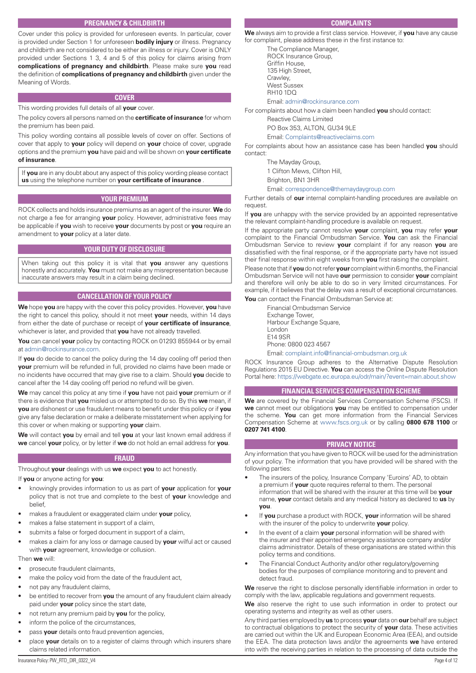# **PREGNANCY & CHILDBIRTH**

Cover under this policy is provided for unforeseen events. In particular, cover is provided under Section 1 for unforeseen **bodily injury** or illness. Pregnancy and childbirth are not considered to be either an illness or injury. Cover is ONLY provided under Sections 1 3, 4 and 5 of this policy for claims arising from **complications of pregnancy and childbirth**. Please make sure **you** read the definition of **complications of pregnancy and childbirth** given under the Meaning of Words.

#### **COVER**

This wording provides full details of all **your** cover.

The policy covers all persons named on the **certificate of insurance** for whom the premium has been paid.

This policy wording contains all possible levels of cover on offer. Sections of cover that apply to **your** policy will depend on **your** choice of cover, upgrade options and the premium **you** have paid and will be shown on **your certificate of insurance**.

If **you** are in any doubt about any aspect of this policy wording please contact **us** using the telephone number on **your certificate of insurance** .

#### **YOUR PREMIUM**

ROCK collects and holds insurance premiums as an agent of the insurer. **We** do not charge a fee for arranging **your** policy. However, administrative fees may be applicable if **you** wish to receive **your** documents by post or **you** require an amendment to **your** policy at a later date.

#### **YOUR DUTY OF DISCLOSURE**

When taking out this policy it is vital that **you** answer any questions honestly and accurately. **You** must not make any misrepresentation because inaccurate answers may result in a claim being declined.

#### **CANCELLATION OF YOUR POLICY**

**We** hope **you** are happy with the cover this policy provides. However, **you** have the right to cancel this policy, should it not meet **your** needs, within 14 days from either the date of purchase or receipt of **your certificate of insurance**, whichever is later, and provided that **you** have not already travelled.

**You** can cancel **your** policy by contacting ROCK on 01293 855944 or by email at admin@rockinsurance.com.

If **you** do decide to cancel the policy during the 14 day cooling off period then **your** premium will be refunded in full, provided no claims have been made or no incidents have occurred that may give rise to a claim. Should **you** decide to cancel after the 14 day cooling off period no refund will be given.

**We** may cancel this policy at any time if **you** have not paid **your** premium or if there is evidence that **you** misled us or attempted to do so. By this **we** mean, if **you** are dishonest or use fraudulent means to benefit under this policy or if **you** give any false declaration or make a deliberate misstatement when applying for this cover or when making or supporting **your** claim.

**We** will contact **you** by email and tell **you** at your last known email address if **we** cancel **your** policy, or by letter if **we** do not hold an email address for **you**.

#### **FRAUD**

Throughout **your** dealings with us **we** expect **you** to act honestly.

If **you** or anyone acting for **you**:

- knowingly provides information to us as part of **your** application for **your** policy that is not true and complete to the best of **your** knowledge and belief,
- makes a fraudulent or exaggerated claim under **your** policy,
- makes a false statement in support of a claim,
- submits a false or forged document in support of a claim,
- makes a claim for any loss or damage caused by **your** wilful act or caused with **your** agreement, knowledge or collusion.

#### Then **we** will:

- prosecute fraudulent claimants,
- make the policy void from the date of the fraudulent act,
- not pay any fraudulent claims,
- be entitled to recover from **you** the amount of any fraudulent claim already paid under **your** policy since the start date,
- not return any premium paid by **you** for the policy,
- inform the police of the circumstances,
- pass **your** details onto fraud prevention agencies,
- place **your** details on to a register of claims through which insurers share claims related information.

#### **COMPLAINTS**

**We** always aim to provide a first class service. However, if **you** have any cause for complaint, please address these in the first instance to:

The Compliance Manager, ROCK Insurance Group, Griffin House, 135 High Street, Crawley, West Sussex RH10 1DQ Email: admin@rockinsurance.com

For complaints about how a claim been handled **you** should contact:

Reactive Claims Limited

PO Box 353, ALTON, GU34 9LE

Email: Complaints@reactiveclaims.com

For complaints about how an assistance case has been handled **you** should contact:

The Mayday Group,

1 Clifton Mews, Clifton Hill,

Brighton, BN1 3HR

Email: correspondence@themaydaygroup.com

Further details of **our** internal complaint-handling procedures are available on request

If **you** are unhappy with the service provided by an appointed representative the relevant complaint-handling procedure is available on request.

If the appropriate party cannot resolve **your** complaint, **you** may refer **your** complaint to the Financial Ombudsman Service. **You** can ask the Financial Ombudsman Service to review **your** complaint if for any reason **you** are dissatisfied with the final response, or if the appropriate party have not issued their final response within eight weeks from **you** first raising the complaint.

Please note that if **you** do not refer **your** complaint within 6 months, the Financial Ombudsman Service will not have **our** permission to consider **your** complaint and therefore will only be able to do so in very limited circumstances. For example, if it believes that the delay was a result of exceptional circumstances.

**You** can contact the Financial Ombudsman Service at:

Financial Ombudsman Service Exchange Tower, Harbour Exchange Square, London E14 9SR Phone: 0800 023 4567 Email: complaint.info@financial-ombudsman.org.uk

ROCK Insurance Group adheres to the Alternative Dispute Resolution Regulations 2015 EU Directive. **You** can access the Online Dispute Resolution Portal here: https://webgate.ec.europa.eu/odr/main/?event=main.about.show

#### **FINANCIAL SERVICES COMPENSATION SCHEME**

**We** are covered by the Financial Services Compensation Scheme (FSCS). If **we** cannot meet our obligations **you** may be entitled to compensation under the scheme. **You** can get more information from the Financial Services Compensation Scheme at www.fscs.org.uk or by calling **0800 678 1100** or **0207 741 4100**.

#### **PRIVACY NOTICE**

Any information that you have given to ROCK will be used for the administration of your policy. The information that you have provided will be shared with the following parties:

- The insurers of the policy, Insurance Company 'Euroins' AD, to obtain a premium if **your** quote requires referral to them. The personal information that will be shared with the insurer at this time will be **your** name, **your** contact details and any medical history as declared to **us** by **you**.
- If **you** purchase a product with ROCK, **your** information will be shared with the insurer of the policy to underwrite **your** policy.
- In the event of a claim **your** personal information will be shared with the insurer and their appointed emergency assistance company and/or claims administrator. Details of these organisations are stated within this policy terms and conditions.
- The Financial Conduct Authority and/or other regulatory/governing bodies for the purposes of compliance monitoring and to prevent and detect fraud.

**We** reserve the right to disclose personally identifiable information in order to comply with the law, applicable regulations and government requests.

**We** also reserve the right to use such information in order to protect our operating systems and integrity as well as other users.

Any third parties employed by **us** to process **your** data on **our** behalf are subject to contractual obligations to protect the security of **your** data. These activities are carried out within the UK and European Economic Area (EEA), and outside the EEA. The data protection laws and/or the agreements **we** have entered into with the receiving parties in relation to the processing of data outside the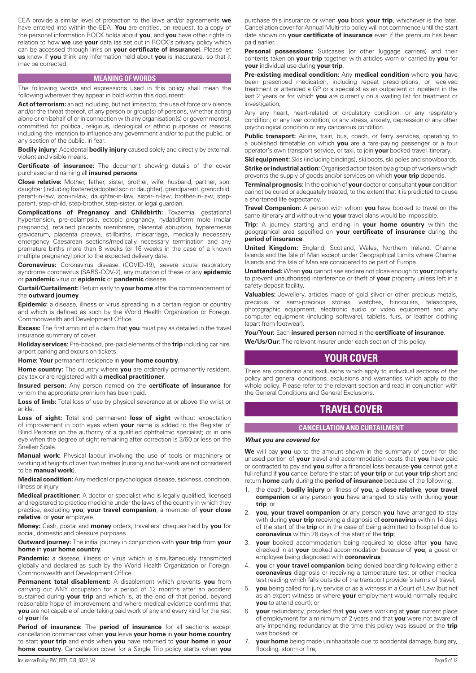EEA provide a similar level of protection to the laws and/or agreements **we** have entered into within the EEA. **You** are entitled, on request, to a copy of the personal information ROCK holds about **you**, and **you** have other rights in relation to how **we** use **your** data (as set out in ROCK's privacy policy which can be accessed through links on **your certificate of insurance**). Please let **us** know if **you** think any information held about **you** is inaccurate, so that it may be corrected.

#### **MEANING OF WORDS**

The following words and expressions used in this policy shall mean the following wherever they appear in bold within this document:

Act of terrorism: an act including, but not limited to, the use of force or violence and/or the threat thereof, of any person or group(s) of persons, whether acting alone or on behalf of or in connection with any organisation(s) or government(s), committed for political, religious, ideological or ethnic purposes or reasons including the intention to influence any government and/or to put the public, or any section of the public, in fear.

**Bodily injury:** Accidental **bodily injury** caused solely and directly by external, violent and visible means.

**Certificate of insurance:** The document showing details of the cover purchased and naming all **insured persons**.

**Close relative:** Mother, father, sister, brother, wife, husband, partner, son, daughter (including fostered/adopted son or daughter), grandparent, grandchild, parent-in-law, son-in-law, daughter-in-law, sister-in-law, brother-in-law, stepparent, step-child, step-brother, step-sister, or legal guardian.

**Complications of Pregnancy and Childbirth:** Toxaemia, gestational hypertension, pre-eclampsia, ectopic pregnancy, hydatidiform mole (molar pregnancy), retained placenta membrane, placental abruption, hyperemesis gravidarum, placenta praevia, stillbirths, miscarriage, medically necessary emergency Caesarean sections/medically necessary termination and any premature births more than 8 weeks (or 16 weeks in the case of a known multiple pregnancy) prior to the expected delivery date.

**Coronavirus:** Coronavirus disease (COVID-19); severe acute respiratory syndrome coronavirus (SARS-COV-2), any mutation of these or any **epidemic** or **pandemic** virus or **epidemic** or **pandemic** disease.

**Curtail/Curtailment:** Return early to **your home** after the commencement of the **outward journey**.

**Epidemic:** a disease, illness or virus spreading in a certain region or country and which is defined as such by the World Health Organization or Foreign, Commonwealth and Development Office.

**Excess:** The first amount of a claim that **you** must pay as detailed in the travel insurance summary of cover.

**Holiday services**: Pre-booked, pre-paid elements of the **trip** including car hire, airport parking and excursion tickets.

**Home: Your** permanent residence in **your home country**.

**Home country:** The country where **you** are ordinarily permanently resident, pay tax or are registered with a **medical practitioner**.

**Insured person:** Any person named on the **certificate of insurance** for whom the appropriate premium has been paid.

**Loss of limb:** Total loss of use by physical severance at or above the wrist or ankle.

**Loss of sight:** Total and permanent **loss of sight** without expectation of improvement in both eyes when **your** name is added to the Register of Blind Persons on the authority of a qualified ophthalmic specialist; or in one eye when the degree of sight remaining after correction is 3/60 or less on the Snellen Scale.

**Manual work:** Physical labour involving the use of tools or machinery or working at heights of over two metres (nursing and bar-work are not considered to be **manual work**).

**Medical condition:** Any medical or psychological disease, sickness, condition, illness or injury.

**Medical practitioner:** A doctor or specialist who is legally qualified, licensed and registered to practice medicine under the laws of the country in which they practice, excluding **you**, **your travel companion**, a member of **your close relative**, or **your** employee.

**Money:** Cash, postal and **money** orders, travellers' cheques held by **you** for social, domestic and pleasure purposes.

**Outward journey:** The initial journey in conjunction with **your trip** from **your home** in **your home country**.

**Pandemic:** a disease, illness or virus which is simultaneously transmitted globally and declared as such by the World Health Organization or Foreign, Commonwealth and Development Office.

**Permanent total disablement:** A disablement which prevents **you** from carrying out ANY occupation for a period of 12 months after an accident sustained during **your trip** and which is, at the end of that period, beyond reasonable hope of improvement and where medical evidence confirms that **you** are not capable of undertaking paid work of any and every kind for the rest of **your** life.

**Period of insurance:** The **period of insurance** for all sections except cancellation commences when **you** leave **your home** in **your home country** to start **your trip** and ends when **you** have returned to **your home** in **your home country**. Cancellation cover for a Single Trip policy starts when **you** purchase this insurance or when **you** book **your trip**, whichever is the later. Cancellation cover for Annual Multi-trip policy will not commence until the start date shown on **your certificate of insurance** even if the premium has been paid earlier.

Personal possessions: Suitcases (or other luggage carriers) and their contents taken on **your trip** together with articles worn or carried by **you** for **your** individual use during **your trip**.

**Pre-existing medical condition:** Any **medical condition** where **you** have been prescribed medication, including repeat prescriptions, or received treatment or attended a GP or a specialist as an outpatient or inpatient in the last 2 years or for which **you** are currently on a waiting list for treatment or investigation;

Any any heart, heart-related or circulatory condition; or any respiratory condition; or any liver condition; or any stress, anxiety, depression or any other psychological condition or any cancerous condition.

Public transport: Airline, train, bus, coach, or ferry services, operating to a published timetable on which **you** are a fare-paying passenger or a tour operator's own transport service, or taxi, to join **your** booked travel itinerary.

**Ski equipment:** Skis (including bindings), ski boots, ski poles and snowboards.

**Strike or industrial action:** Organised action taken by a group of workers which prevents the supply of goods and/or services on which **your trip** depends.

**Terminal prognosis:** In the opinion of **your** doctor or consultant **your** condition cannot be cured or adequately treated, to the extent that it is predicted to cause a shortened life expectancy.

**Travel Companion:** A person with whom **you** have booked to travel on the same itinerary and without who **your** travel plans would be impossible.

**Trip:** A journey starting and ending in **your home country** within the geographical area specified on **your certificate of insurance** during the **period of insurance**.

**United Kingdom:** England, Scotland, Wales, Northern Ireland, Channel Islands and the Isle of Man except under Geographical Limits where Channel Islands and the Isle of Man are considered to be part of Europe.

**Unattended:** When **you** cannot see and are not close enough to **your** property to prevent unauthorised interference or theft of **your** property unless left in a safety-deposit facility.

**Valuables:** Jewellery, articles made of gold silver or other precious metals, precious or semi-precious stones, watches, binoculars, telescopes, photographic equipment, electronic audio or video equipment and any computer equipment (including software), tablets, furs, or leather clothing (apart from footwear).

**You/Your:** Each **insured person** named in the **certificate of insurance**.

**We/Us/Our:** The relevant insurer under each section of this policy.

# **YOUR COVER**

There are conditions and exclusions which apply to individual sections of the policy and general conditions, exclusions and warranties which apply to the whole policy. Please refer to the relevant section and read in conjunction with the General Conditions and General Exclusions.

# **TRAVEL COVER**

# **CANCELLATION AND CURTAILMENT**

#### *What you are covered for*

**We** will pay **you** up to the amount shown in the summary of cover for the unused portion of **your** travel and accommodation costs that **you** have paid or contracted to pay and **you** suffer a financial loss because **you** cannot get a full refund if **you** cancel before the start of **your trip** or cut **your trip** short and return **home** early during the **period of insurance** because of the following:

- 1. the death, **bodily injury** or illness of **you**, a **close relative**, **your travel companion** or any person **you** have arranged to stay with during **your trip**; or
- 2. **you, your travel companion** or any person **you** have arranged to stay with during **your trip** receiving a diagnosis of **coronavirus** within 14 days of the start of the **trip** or in the case of being admitted to hospital due to **coronavirus** within 28 days of the start of the **trip**;
- **your** booked accommodation being required to close after you have checked in at **your** booked accommodation because of **you**, a guest or employee being diagnosed with **coronavirus**;
- 4. **you** or **your travel companion** being denied boarding following either a **coronavirus** diagnosis or receiving a temperature test or other medical test reading which falls outside of the transport provider's terms of travel;
- 5. **you** being called for jury service or as a witness in a Court of Law (but not as an expert witness or where **your** employment would normally require **you** to attend court); or
- 6. **your** redundancy, provided that **you** were working at **your** current place of employment for a minimum of 2 years and that **you** were not aware of any impending redundancy at the time this policy was issued or the **trip** was booked; or
- 7. **your home** being made uninhabitable due to accidental damage, burglary, flooding, storm or fire;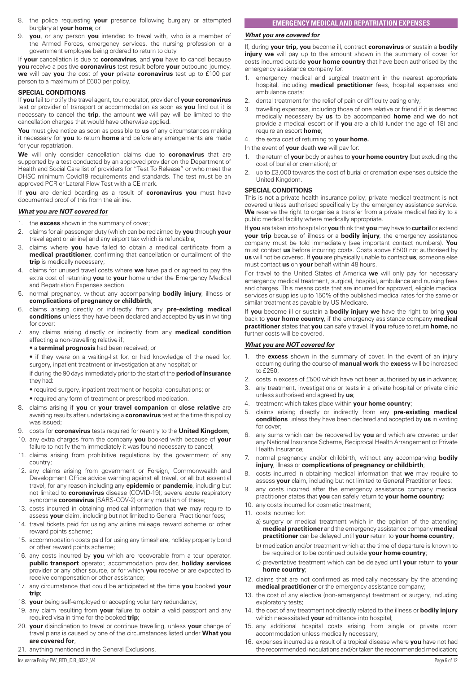- 8. the police requesting **your** presence following burglary or attempted burglary at **your home**; or
- 9. **you**, or any person **you** intended to travel with, who is a member of the Armed Forces, emergency services, the nursing profession or a government employee being ordered to return to duty.

If **your** cancellation is due to **coronavirus**, and **you** have to cancel because **you** receive a positive **coronavirus** test result before **your** outbound journey, **we** will pay **you** the cost of **your** private **coronavirus** test up to £100 per person to a maximum of £600 per policy.

#### **SPECIAL CONDITIONS**

If **you** fail to notify the travel agent, tour operator, provider of **your coronavirus** test or provider of transport or accommodation as soon as **you** find out it is necessary to cancel the **trip**, the amount **we** will pay will be limited to the cancellation charges that would have otherwise applied.

**You** must give notice as soon as possible to **us** of any circumstances making it necessary for **you** to return **home** and before any arrangements are made for your repatriation.

**We** will only consider cancellation claims due to **coronavirus** that are supported by a test conducted by an approved provider on the Department of Health and Social Care list of providers for "Test To Release" or who meet the DHSC minimum Covid19 requirements and standards. The test must be an approved PCR or Lateral Flow Test with a CE mark.

If **you** are denied boarding as a result of **coronavirus you** must have documented proof of this from the airline.

#### *What you are NOT covered for*

- 1. the **excess** shown in the summary of cover;
- 2. claims for air passenger duty (which can be reclaimed by **you** through **your** travel agent or airline) and any airport tax which is refundable;
- 3. claims where **you** have failed to obtain a medical certificate from a **medical practitioner**, confirming that cancellation or curtailment of the **trip** is medically necessary;
- 4. claims for unused travel costs where **we** have paid or agreed to pay the extra cost of returning **you** to **your** home under the Emergency Medical and Repatriation Expenses section.
- 5. normal pregnancy, without any accompanying **bodily injury**, illness or **complications of pregnancy or childbirth**;
- 6. claims arising directly or indirectly from any **pre-existing medical conditions** unless they have been declared and accepted by **us** in writing for cover;
- 7. any claims arising directly or indirectly from any **medical condition** affecting a non-travelling relative if;
	- a **terminal prognosis** had been received; or

• if they were on a waiting-list for, or had knowledge of the need for, surgery, inpatient treatment or investigation at any hospital; or

if during the 90 days immediately prior to the start of the **period of insurance** they had:

- required surgery, inpatient treatment or hospital consultations; or
- required any form of treatment or prescribed medication.
- 8. claims arising if **you** or **your travel companion** or **close relative** are awaiting results after undertaking a **coronavirus** test at the time this policy was issued;
- 9. costs for **coronavirus** tests required for reentry to the **United Kingdom**;
- 10. any extra charges from the company **you** booked with because of **your**  failure to notify them immediately it was found necessary to cancel;
- 11. claims arising from prohibitive regulations by the government of any country;
- 12. any claims arising from government or Foreign, Commonwealth and Development Office advice warning against all travel, or all but essential travel, for any reason including any **epidemic** or **pandemic**, including but not limited to **coronavirus** disease (COVID-19); severe acute respiratory syndrome **coronavirus** (SARS-COV-2) or any mutation of these;
- 13. costs incurred in obtaining medical information that **we** may require to assess **your** claim, including but not limited to General Practitioner fees;
- 14. travel tickets paid for using any airline mileage reward scheme or other reward points scheme;
- 15. accommodation costs paid for using any timeshare, holiday property bond or other reward points scheme;
- 16. any costs incurred by **you** which are recoverable from a tour operator, **public transport** operator, accommodation provider, **holiday services** provider or any other source, or for which **you** receive or are expected to receive compensation or other assistance;
- 17. any circumstance that could be anticipated at the time **you** booked **your trip**;
- 18. **your** being self-employed or accepting voluntary redundancy;
- 19. any claim resulting from **your** failure to obtain a valid passport and any required visa in time for the booked **trip**;
- 20. **your** disinclination to travel or continue travelling, unless **your** change of travel plans is caused by one of the circumstances listed under **What you are covered for**;
- 21. anything mentioned in the General Exclusions.

## **EMERGENCY MEDICAL AND REPATRIATION EXPENSES**

#### *What you are covered for*

If, during **your trip, you** become ill, contract **coronavirus** or sustain a **bodily injury we** will pay up to the amount shown in the summary of cover for costs incurred outside **your home country** that have been authorised by the emergency assistance company for:

- 1. emergency medical and surgical treatment in the nearest appropriate hospital, including **medical practitioner** fees, hospital expenses and ambulance costs;
- 2. dental treatment for the relief of pain or difficulty eating only;
- 3. travelling expenses, including those of one relative or friend if it is deemed medically necessary by **us** to be accompanied **home** and **we** do not provide a medical escort or if **you** are a child (under the age of 18) and require an escort **home**;

4. the extra cost of returning to **your home.**

In the event of **your** death **we** will pay for:

- 1. the return of **your** body or ashes to **your home country** (but excluding the cost of burial or cremation); or
- 2. up to £3,000 towards the cost of burial or cremation expenses outside the United Kingdom.

#### **SPECIAL CONDITIONS**

This is not a private health insurance policy; private medical treatment is not covered unless authorised specifically by the emergency assistance service. **We** reserve the right to organise a transfer from a private medical facility to a public medical facility where medically appropriate.

If **you** are taken into hospital or **you** think that **you** may have to **curtail** or extend **your trip** because of illness or a **bodily injury**, the emergency assistance company must be told immediately (see important contact numbers). **You** must contact **us** before incurring costs. Costs above £500 not authorised by **us** will not be covered. If **you** are physically unable to contact **us**, someone else must contact **us** on **your** behalf within 48 hours.

For travel to the United States of America **we** will only pay for necessary emergency medical treatment, surgical, hospital, ambulance and nursing fees and charges. This means costs that are incurred for approved, eligible medical services or supplies up to 150% of the published medical rates for the same or similar treatment as payable by US Medicare.

If **you** become ill or sustain a **bodily injury we** have the right to bring **you** back to **your home country**, if the emergency assistance company **medical practitioner** states that **you** can safely travel. If **you** refuse to return **home**, no further costs will be covered.

## *What you are NOT covered for*

- 1. the **excess** shown in the summary of cover. In the event of an injury occurring during the course of **manual work** the **excess** will be increased to £250;
- 2. costs in excess of £500 which have not been authorised by **us** in advance;
- 3. any treatment, investigations or tests in a private hospital or private clinic unless authorised and agreed by **us**;
- 4. treatment which takes place within **your home country**;
- 5. claims arising directly or indirectly from any **pre-existing medical conditions** unless they have been declared and accepted by **us** in writing for cover;
- 6. any sums which can be recovered by **you** and which are covered under any National Insurance Scheme, Reciprocal Health Arrangement or Private Health Insurance;
- 7. normal pregnancy and/or childbirth, without any accompanying **bodily injury**, illness or **complications of pregnancy or childbirth**;
- 8. costs incurred in obtaining medical information that **we** may require to assess **your** claim, including but not limited to General Practitioner fees;
- any costs incurred after the emergency assistance company medical practitioner states that **you** can safely return to **your home country;**
- 10. any costs incurred for cosmetic treatment;
- 11. costs incurred for:
	- a) surgery or medical treatment which in the opinion of the attending **medical practitioner** and the emergency assistance company **medical practitioner** can be delayed until **your** return to **your home country**;
	- b) medication and/or treatment which at the time of departure is known to be required or to be continued outside **your home country**;
	- c) preventative treatment which can be delayed until **your** return to **your home country**;
- 12. claims that are not confirmed as medically necessary by the attending **medical practitioner** or the emergency assistance company:
- 13. the cost of any elective (non-emergency) treatment or surgery, including exploratory tests;
- 14. the cost of any treatment not directly related to the illness or **bodily injury**  which necessitated **your** admittance into hospital;
- 15. any additional hospital costs arising from single or private room accommodation unless medically necessary;
- 16. expenses incurred as a result of a tropical disease where **you** have not had the recommended inoculations and/or taken the recommended medication;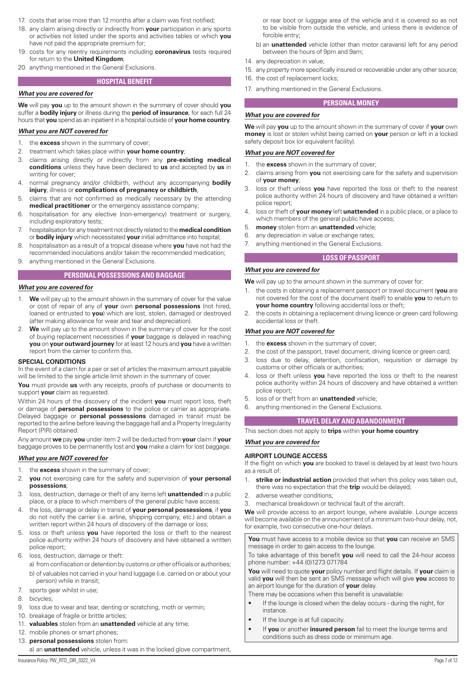- 17. costs that arise more than 12 months after a claim was first notified;
- 18. any claim arising directly or indirectly from **your** participation in any sports or activities not listed under the sports and activities tables or which **you** have not paid the appropriate premium for;
- 19. costs for any reentry requirements including **coronavirus** tests required for return to the **United Kingdom**;
- 20. anything mentioned in the General Exclusions.

# **HOSPITAL BENEFIT**

#### *What you are covered for*

**We** will pay **you** up to the amount shown in the summary of cover should **you** suffer a **bodily injury** or illness during the **period of insurance**, for each full 24 hours that **you** spend as an inpatient in a hospital outside of **your home country**.

#### *What you are NOT covered for*

- 1. the **excess** shown in the summary of cover;
- 2. treatment which takes place within **your home country**;
- 3. claims arising directly or indirectly from any **pre-existing medical conditions** unless they have been declared to **us** and accepted by **us** in writing for cover;
- 4. normal pregnancy and/or childbirth, without any accompanying **bodily injury**, illness or **complications of pregnancy or childbirth**;
- 5. claims that are not confirmed as medically necessary by the attending **medical practitioner** or the emergency assistance company;
- 6. hospitalisation for any elective (non-emergency) treatment or surgery, including exploratory tests;
- 7. hospitalisation for any treatment not directly related to the **medical condition** or **bodily injury** which necessitated **your** initial admittance into hospital;
- 8. hospitalisation as a result of a tropical disease where **you** have not had the recommended inoculations and/or taken the recommended medication;
- 9. anything mentioned in the General Exclusions.

## **PERSONAL POSSESSIONS AND BAGGAGE**

#### *What you are covered for*

- 1. **We** will pay up to the amount shown in the summary of cover for the value or cost of repair of any of **your** own **personal possessions** (not hired, loaned or entrusted to **you**) which are lost, stolen, damaged or destroyed (after making allowance for wear and tear and depreciation).
- **We** will pay up to the amount shown in the summary of cover for the cost of buying replacement necessities if **your** baggage is delayed in reaching **you** on **your outward journey** for at least 12 hours and **you** have a written report from the carrier to confirm this.

#### **SPECIAL CONDITIONS**

In the event of a claim for a pair or set of articles the maximum amount payable will be limited to the single article limit shown in the summary of cover.

**You** must provide **us** with any receipts, proofs of purchase or documents to support **your** claim as requested.

Within 24 hours of the discovery of the incident **you** must report loss, theft or damage of **personal possessions** to the police or carrier as appropriate. Delayed baggage or **personal possessions** damaged in transit must be reported to the airline before leaving the baggage hall and a Property Irregularity Report (PIR) obtained.

Any amount **we** pay **you** under item 2 will be deducted from **your** claim if **your** baggage proves to be permanently lost and **you** make a claim for lost baggage.

#### *What you are NOT covered for*

- 1. the **excess** shown in the summary of cover;
- 2. **you** not exercising care for the safety and supervision of **your personal possessions**;
- 3. loss, destruction, damage or theft of any items left **unattended** in a public place, or a place to which members of the general public have access;
- 4. the loss, damage or delay in transit of **your personal possessions**, if **you** do not notify the carrier (i.e. airline, shipping company, etc.) and obtain a written report within 24 hours of discovery of the damage or loss;
- 5. loss or theft unless **you** have reported the loss or theft to the nearest police authority within 24 hours of discovery and have obtained a written police report;
- 6. loss, destruction, damage or theft:
- a) from confiscation or detention by customs or other officials or authorities; b) of valuables not carried in your hand luggage (i.e. carried on or about your person) while in transit;
- 7. sports gear whilst in use;
- 8. bicycles;
- 9. loss due to wear and tear, denting or scratching, moth or vermin;
- 10. breakage of fragile or brittle articles;
- 11. **valuables** stolen from an **unattended** vehicle at any time;
- 12. mobile phones or smart phones;
- 13. **personal possessions** stolen from:
- a) an **unattended** vehicle, unless it was in the locked glove compartment,
- b) an **unattended** vehicle (other than motor caravans) left for any period between the hours of 9pm and 9am;
- 14 any depreciation in value;
- 15. any property more specifically insured or recoverable under any other source;
- 16. the cost of replacement locks;
- 17. anything mentioned in the General Exclusions.

#### **PERSONAL MONEY**

#### *What you are covered for*

**We** will pay **you** up to the amount shown in the summary of cover if **your** own **money** is lost or stolen whilst being carried on **your** person or left in a locked safety deposit box (or equivalent facility).

#### *What you are NOT covered for*

- 1. the **excess** shown in the summary of cover;
- 2. claims arising from **you** not exercising care for the safety and supervision of **your money**;
- 3. loss or theft unless **you** have reported the loss or theft to the nearest police authority within 24 hours of discovery and have obtained a written police report;
- 4. loss or theft of **your money** left **unattended** in a public place, or a place to which members of the general public have access;
- 5. **money** stolen from an **unattended** vehicle;
- 6. any depreciation in value or exchange rates;
- 7. anything mentioned in the General Exclusions.

# **LOSS OF PASSPORT**

## **We** will pay up to the amount shown in the summary of cover for:

- 1. the costs in obtaining a replacement passport or travel document (**you** are not covered for the cost of the document itself) to enable **you** to return to **your home country** following accidental loss or theft;
- 2. the costs in obtaining a replacement driving licence or green card following accidental loss or theft.

## *What you are NOT covered for*

*What you are covered for*

- 1. the **excess** shown in the summary of cover;
- 2. the cost of the passport, travel document, driving licence or green card;
- 3. loss due to delay, detention, confiscation, requisition or damage by customs or other officials or authorities;
- 4. loss or theft unless **you** have reported the loss or theft to the nearest police authority within 24 hours of discovery and have obtained a written police report;
- 5. loss of or theft from an **unattended** vehicle;
- 6. anything mentioned in the General Exclusions.

## **TRAVEL DELAY AND ABANDONMENT**

This section does not apply to **trips** within **your home country**.

## *What you are covered for*

#### **AIRPORT LOUNGE ACCESS**

If the flight on which **you** are booked to travel is delayed by at least two hours as a result of:

- 1. **strike or industrial action** provided that when this policy was taken out, there was no expectation that the **trip** would be delayed;
- 2. adverse weather conditions;
- 3. mechanical breakdown or technical fault of the aircraft.

**We** will provide access to an airport lounge, where available. Lounge access will become available on the announcement of a minimum two-hour delay, not, for example, two consecutive one-hour delays.

**You** must have access to a mobile device so that **you** can receive an SMS message in order to gain access to the lounge.

To take advantage of this benefit **you** will need to call the 24-hour access phone number: +44 (0)1273 071784

**You** will need to quote **your** policy number and flight details. If **your** claim is valid **you** will then be sent an SMS message which will give **you** access to an airport lounge for the duration of **your** delay.

There may be occasions when this benefit is unavailable:

- If the lounge is closed when the delay occurs during the night, for instance.
- If the lounge is at full capacity.
- If **you** or another **insured person** fail to meet the lounge terms and conditions such as dress code or minimum age.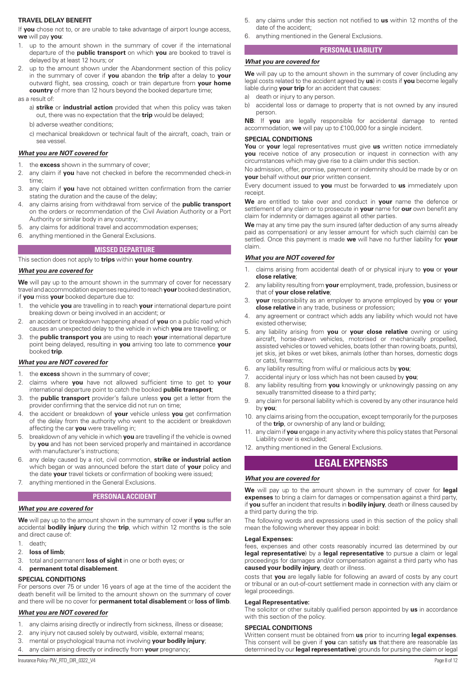#### **TRAVEL DELAY BENEFIT**

If **you** chose not to, or are unable to take advantage of airport lounge access, **we** will pay **you**:

- 1. up to the amount shown in the summary of cover if the international departure of the **public transport** on which **you** are booked to travel is delayed by at least 12 hours; or
- 2. up to the amount shown under the Abandonment section of this policy in the summary of cover if **you** abandon the **trip** after a delay to **your** outward flight, sea crossing, coach or train departure from **your home country** of more than 12 hours beyond the booked departure time;

#### as a result of:

- a) **strike** or **industrial action** provided that when this policy was taken out, there was no expectation that the **trip** would be delayed;
	- b) adverse weather conditions;
	- c) mechanical breakdown or technical fault of the aircraft, coach, train or sea vessel.

#### *What you are NOT covered for*

- 1. the **excess** shown in the summary of cover;
- 2. any claim if **you** have not checked in before the recommended check-in time;
- 3. any claim if **you** have not obtained written confirmation from the carrier stating the duration and the cause of the delay;
- 4. any claims arising from withdrawal from service of the **public transport**  on the orders or recommendation of the Civil Aviation Authority or a Port Authority or similar body in any country;
- 5. any claims for additional travel and accommodation expenses;
- 6. anything mentioned in the General Exclusions.

#### **MISSED DEPARTURE**

This section does not apply to **trips** within **your home country**.

#### *What you are covered for*

We will pay up to the amount shown in the summary of cover for necessary travel and accommodation expenses required to reach **your** booked destination, if **you** miss **your** booked departure due to:

- 1. the vehicle **you** are travelling in to reach **your** international departure point breaking down or being involved in an accident; or
- 2. an accident or breakdown happening ahead of **you** on a public road which causes an unexpected delay to the vehicle in which **you** are travelling; or
- 3. the **public transport you** are using to reach **your** international departure point being delayed, resulting in **you** arriving too late to commence **your** booked **trip**.

#### *What you are NOT covered for*

- 1. the **excess** shown in the summary of cover;
- 2. claims where **you** have not allowed sufficient time to get to **your** international departure point to catch the booked **public transport**;
- 3. the **public transport** provider's failure unless **you** get a letter from the provider confirming that the service did not run on time;
- 4. the accident or breakdown of **your** vehicle unless **you** get confirmation of the delay from the authority who went to the accident or breakdown affecting the car **you** were travelling in;
- 5. breakdown of any vehicle in which **you** are travelling if the vehicle is owned by **you** and has not been serviced properly and maintained in accordance with manufacturer's instructions;
- any delay caused by a riot, civil commotion, strike or industrial action which began or was announced before the start date of **your** policy and the date **your** travel tickets or confirmation of booking were issued;
- 7. anything mentioned in the General Exclusions.

#### **PERSONAL ACCIDENT**

#### *What you are covered for*

**We** will pay up to the amount shown in the summary of cover if **you** suffer an accidental **bodily injury** during the **trip**, which within 12 months is the sole and direct cause of:

- 1. death;
- 2. **loss of limb**;
- 3. total and permanent **loss of sight** in one or both eyes; or
- 4. **permanent total disablement**.

#### **SPECIAL CONDITIONS**

For persons over 75 or under 16 years of age at the time of the accident the death benefit will be limited to the amount shown on the summary of cover and there will be no cover for **permanent total disablement** or **loss of limb**.

#### *What you are NOT covered for*

- 1. any claims arising directly or indirectly from sickness, illness or disease;
- 2. any injury not caused solely by outward, visible, external means;
- 3. mental or psychological trauma not involving **your bodily injury**;
- 4. any claim arising directly or indirectly from **your** pregnancy;

6. anything mentioned in the General Exclusions.

#### **PERSONAL LIABILITY**

#### *What you are covered for*

**We** will pay up to the amount shown in the summary of cover (including any legal costs related to the accident agreed by **us**) in costs if **you** become legally liable during **your trip** for an accident that causes:

- a) death or injury to any person.
- b) accidental loss or damage to property that is not owned by any insured person.

**NB**: If **you** are legally responsible for accidental damage to rented accommodation, **we** will pay up to £100,000 for a single incident.

#### **SPECIAL CONDITIONS**

**You** or **your** legal representatives must give **us** written notice immediately **you** receive notice of any prosecution or inquest in connection with any circumstances which may give rise to a claim under this section.

No admission, offer, promise, payment or indemnity should be made by or on **your** behalf without **our** prior written consent.

Every document issued to **you** must be forwarded to **us** immediately upon receipt.

**We** are entitled to take over and conduct in **your** name the defence or settlement of any claim or to prosecute in **your** name for **our** own benefit any claim for indemnity or damages against all other parties.

**We** may at any time pay the sum insured (after deduction of any sums already paid as compensation) or any lesser amount for which such claim(s) can be settled. Once this payment is made **we** will have no further liability for **your** claim.

## *What you are NOT covered for*

- 1. claims arising from accidental death of or physical injury to **you** or **your close relative**;
- 2. any liability resulting from **your** employment, trade, profession, business or that of **your close relative**;
- 3. **your** responsibility as an employer to anyone employed by **you** or **your close relative** in any trade, business or profession;
- 4. any agreement or contract which adds any liability which would not have existed otherwise;
- 5. any liability arising from **you** or **your close relative** owning or using aircraft, horse-drawn vehicles, motorised or mechanically propelled, assisted vehicles or towed vehicles, boats (other than rowing boats, punts), jet skis, jet bikes or wet bikes, animals (other than horses, domestic dogs or cats), firearms;
- 6. any liability resulting from wilful or malicious acts by **you**;
- 7. accidental injury or loss which has not been caused by **you**;
- 8. any liability resulting from **you** knowingly or unknowingly passing on any sexually transmitted disease to a third party;
- 9. any claim for personal liability which is covered by any other insurance held by **you**;
- 10. any claims arising from the occupation, except temporarily for the purposes of the **trip**, or ownership of any land or building;
- 11. any claim if **you** engage in any activity where this policy states that Personal Liability cover is excluded;
- 12. anything mentioned in the General Exclusions.

# **LEGAL EXPENSES**

#### *What you are covered for*

**We** will pay up to the amount shown in the summary of cover for **legal expenses** to bring a claim for damages or compensation against a third party, if **you** suffer an incident that results in **bodily injury**, death or illness caused by a third party during the trip.

The following words and expressions used in this section of the policy shall mean the following wherever they appear in bold:

#### **Legal Expenses:**

fees, expenses and other costs reasonably incurred (as determined by our **legal representative**) by a **legal representative** to pursue a claim or legal proceedings for damages and/or compensation against a third party who has **caused your bodily injury**, death or illness.

costs that **you** are legally liable for following an award of costs by any court or tribunal or an out-of-court settlement made in connection with any claim or legal proceedings.

#### **Legal Representative:**

The solicitor or other suitably qualified person appointed by **us** in accordance with this section of the policy.

## **SPECIAL CONDITIONS**

Written consent must be obtained from **us** prior to incurring **legal expenses**. This consent will be given if **you** can satisfy **us** that:there are reasonable (as determined by our **legal representative**) grounds for pursing the claim or legal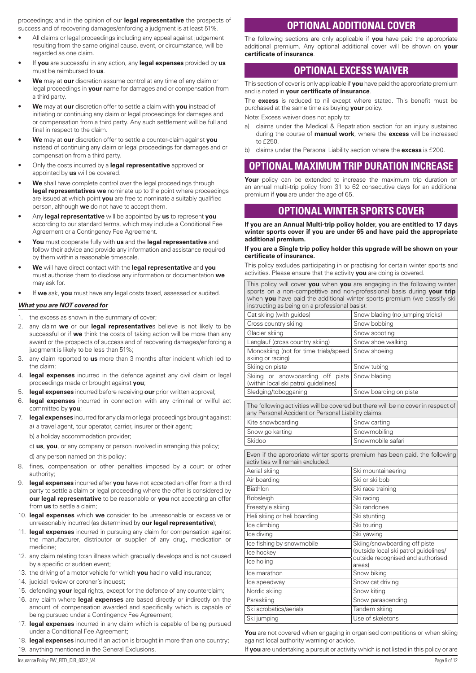proceedings; and in the opinion of our **legal representative** the prospects of success and of recovering damages/enforcing a judgment is at least 51%.

- All claims or legal proceedings including any appeal against judgement resulting from the same original cause, event, or circumstance, will be regarded as one claim.
- If **you** are successful in any action, any **legal expenses** provided by **us** must be reimbursed to **us**.
- **We** may at **our** discretion assume control at any time of any claim or legal proceedings in **your** name for damages and or compensation from a third party.
- **We** may at **our** discretion offer to settle a claim with **you** instead of initiating or continuing any claim or legal proceedings for damages and or compensation from a third party. Any such settlement will be full and final in respect to the claim.
- **We** may at **our** discretion offer to settle a counter-claim against **you** instead of continuing any claim or legal proceedings for damages and or compensation from a third party.
- Only the costs incurred by a **legal representative** approved or appointed by **us** will be covered.
- We shall have complete control over the legal proceedings through **legal representatives we** nominate up to the point where proceedings are issued at which point **you** are free to nominate a suitably qualified person, although **we** do not have to accept them.
- Any **legal representative** will be appointed by **us** to represent **you** according to our standard terms, which may include a Conditional Fee Agreement or a Contingency Fee Agreement.
- **You** must cooperate fully with **us** and the **legal representative** and follow their advice and provide any information and assistance required by them within a reasonable timescale.
- **We** will have direct contact with the **legal representative** and **you** must authorise them to disclose any information or documentation **we** may ask for.
- If **we** ask, **you** must have any legal costs taxed, assessed or audited.

#### *What you are NOT covered for*

- 1. the excess as shown in the summary of cover;
- 2. any claim **we** or our **legal representative**s believe is not likely to be successful or if **we** think the costs of taking action will be more than any award or the prospects of success and of recovering damages/enforcing a judgment is likely to be less than 51%;
- 3. any claim reported to **us** more than 3 months after incident which led to the claim;
- 4. **legal expenses** incurred in the defence against any civil claim or legal proceedings made or brought against **you**;
- 5. **legal expenses** incurred before receiving **our** prior written approval;
- 6. **legal expenses** incurred in connection with any criminal or wilful act committed by **you**;
- 7. **legal expenses** incurred for any claim or legal proceedings brought against: a) a travel agent, tour operator, carrier, insurer or their agent;
	- b) a holiday accommodation provider;

c) **us**, **you**, or any company or person involved in arranging this policy;

d) any person named on this policy;

- 8. fines, compensation or other penalties imposed by a court or other authority;
- 9. **legal expenses** incurred after **you** have not accepted an offer from a third party to settle a claim or legal proceeding where the offer is considered by **our legal representative** to be reasonable or **you** not accepting an offer from **us** to settle a claim;
- 10. **legal expenses** which **we** consider to be unreasonable or excessive or unreasonably incurred (as determined by **our legal representative**);
- 11. **legal expenses** incurred in pursuing any claim for compensation against the manufacturer, distributor or supplier of any drug, medication or medicine;
- 12. any claim relating to:an illness which gradually develops and is not caused by a specific or sudden event;
- 13. the driving of a motor vehicle for which **you** had no valid insurance;
- 14. judicial review or coroner's inquest;
- 15. defending **your** legal rights, except for the defence of any counterclaim;
- 16. any claim where **legal expenses** are based directly or indirectly on the amount of compensation awarded and specifically which is capable of being pursued under a Contingency Fee Agreement;
- 17. **legal expenses** incurred in any claim which is capable of being pursued under a Conditional Fee Agreement;
- 18. **legal expenses** incurred if an action is brought in more than one country; 19. anything mentioned in the General Exclusions.

# **OPTIONAL ADDITIONAL COVER**

The following sections are only applicable if **you** have paid the appropriate additional premium. Any optional additional cover will be shown on **your certificate of insurance**.

# **OPTIONAL EXCESS WAIVER**

This section of cover is only applicable if **you** have paid the appropriate premium and is noted in **your certificate of insurance**.

The **excess** is reduced to nil except where stated. This benefit must be purchased at the same time as buying **your** policy.

Note: Excess waiver does not apply to:

- a) claims under the Medical & Repatriation section for an injury sustained during the course of **manual work**, where the **excess** will be increased to £250.
- b) claims under the Personal Liability section where the **excess** is £200.

# **OPTIONAL MAXIMUM TRIP DURATION INCREASE**

Your policy can be extended to increase the maximum trip duration on an annual multi-trip policy from 31 to 62 consecutive days for an additional premium if **you** are under the age of 65.

# **OPTIONAL WINTER SPORTS COVER**

**If you are an Annual Multi-trip policy holder, you are entitled to 17 days winter sports cover if you are under 65 and have paid the appropriate additional premium.**

#### **If you are a Single trip policy holder this upgrade will be shown on your certificate of insurance.**

This policy excludes participating in or practising for certain winter sports and activities. Please ensure that the activity **you** are doing is covered.

This policy will cover **you** when **you** are engaging in the following winter sports on a non-competitive and non-professional basis during **your trip** when **you** have paid the additional winter sports premium (we classify ski instructing as being on a professional basis): Cat skiing (with guides) Snow blading (no jumping tricks) Cross country skiing Snow bobbing Glacier skiing Snow scooting Langlauf (cross country skiing) Snow shoe walking

| Monoskiing (not for time trials/speed Snow shoeing<br>skiing or racing)               |                        |
|---------------------------------------------------------------------------------------|------------------------|
| Skiing on piste                                                                       | Snow tubing            |
| Skiing or snowboarding off piste Snow blading<br>(within local ski patrol quidelines) |                        |
| Sledging/tobogganing                                                                  | Snow boarding on piste |

The following activities will be covered but there will be no cover in respect of any Personal Accident or Personal Liability claims: Kite snowboarding states are show carting

| Snow go karting | Snowmobiling      |
|-----------------|-------------------|
| Skidoo          | Snowmobile safari |
|                 |                   |

Even if the appropriate winter sports premium has been paid, the following activities will remain excluded:

| Ski mountaineering                          |
|---------------------------------------------|
| Ski or ski bob                              |
| Ski race training                           |
| Ski racing                                  |
| Ski randonee                                |
| Ski stunting                                |
| Ski touring                                 |
| Ski yawing                                  |
| Skiing/snowboarding off piste               |
| (outside local ski patrol guidelines/       |
| outside recognised and authorised<br>areas) |
| Snow biking                                 |
| Snow cat driving                            |
| Snow kiting                                 |
| Snow parascending                           |
| Tandem skiing                               |
| Use of skeletons                            |
|                                             |

You are not covered when engaging in organised competitions or when skiing against local authority warning or advice.

If **you** are undertaking a pursuit or activity which is not listed in this policy or are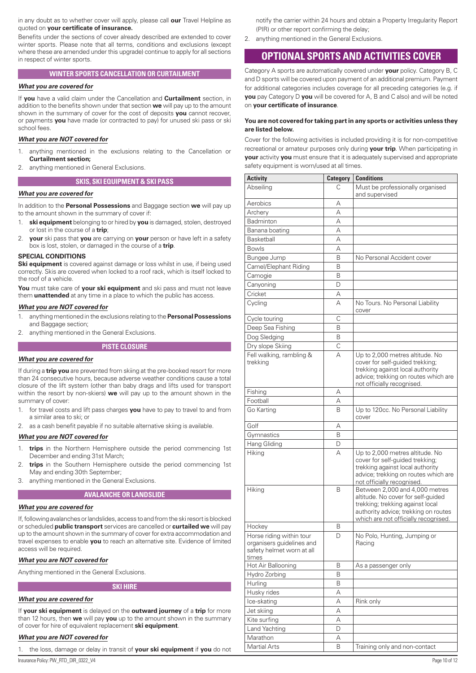in any doubt as to whether cover will apply, please call **our** Travel Helpline as quoted on **your certificate of insurance.**

Benefits under the sections of cover already described are extended to cover winter sports. Please note that all terms, conditions and exclusions (except where these are amended under this upgrade) continue to apply for all sections in respect of winter sports.

# **WINTER SPORTS CANCELLATION OR CURTAILMENT**

#### *What you are covered for*

If **you** have a valid claim under the Cancellation and **Curtailment** section, in addition to the benefits shown under that section **we** will pay up to the amount shown in the summary of cover for the cost of deposits **you** cannot recover, or payments **you** have made (or contracted to pay) for unused ski pass or ski school fees.

# *What you are NOT covered for*

- 1. anything mentioned in the exclusions relating to the Cancellation or **Curtailment section;**
- 2. anything mentioned in General Exclusions.

## **SKIS, SKI EQUIPMENT & SKI PASS**

# *What you are covered for*

In addition to the **Personal Possessions** and Baggage section **we** will pay up to the amount shown in the summary of cover if:

- 1. **ski equipment** belonging to or hired by **you** is damaged, stolen, destroyed or lost in the course of a **trip**;
- 2. **your** ski pass that **you** are carrying on **your** person or have left in a safety box is lost, stolen, or damaged in the course of a **trip**.

#### **SPECIAL CONDITIONS**

**Ski equipment** is covered against damage or loss whilst in use, if being used correctly. Skis are covered when locked to a roof rack, which is itself locked to the roof of a vehicle.

**You** must take care of **your ski equipment** and ski pass and must not leave them **unattended** at any time in a place to which the public has access.

#### *What you are NOT covered for*

- 1. anything mentioned in the exclusions relating to the **Personal Possessions**  and Baggage section;
- 2. anything mentioned in the General Exclusions.

#### **PISTE CLOSURE**

#### *What you are covered for*

If during a **trip you** are prevented from skiing at the pre-booked resort for more than 24 consecutive hours, because adverse weather conditions cause a total closure of the lift system (other than baby drags and lifts used for transport within the resort by non-skiers) **we** will pay up to the amount shown in the summary of cover:

- 1. for travel costs and lift pass charges **you** have to pay to travel to and from a similar area to ski; or
- 2. as a cash benefit payable if no suitable alternative skiing is available.

## *What you are NOT covered for*

- 1. **trips** in the Northern Hemisphere outside the period commencing 1st December and ending 31st March;
- 2. **trips** in the Southern Hemisphere outside the period commencing 1st May and ending 30th September;
- 3. anything mentioned in the General Exclusions.

#### **AVALANCHE OR LANDSLIDE**

#### *What you are covered for*

If, following avalanches or landslides, access to and from the ski resort is blocked or scheduled **public transport** services are cancelled or **curtailed we** will pay up to the amount shown in the summary of cover for extra accommodation and travel expenses to enable **you** to reach an alternative site. Evidence of limited access will be required.

#### *What you are NOT covered for*

Anything mentioned in the General Exclusions.

**SKI HIRE**

#### *What you are covered for*

If **your ski equipment** is delayed on the **outward journey** of a **trip** for more than 12 hours, then **we** will pay **you** up to the amount shown in the summary of cover for hire of equivalent replacement **ski equipment**.

## *What you are NOT covered for*

1. the loss, damage or delay in transit of **your ski equipment** if **you** do not

Insurance Policy: PW\_RTD\_DIR\_0322\_V4 Page 10 of 12

notify the carrier within 24 hours and obtain a Property Irregularity Report (PIR) or other report confirming the delay;

2. anything mentioned in the General Exclusions.

# **OPTIONAL SPORTS AND ACTIVITIES COVER**

Category A sports are automatically covered under **your** policy. Category B, C and D sports will be covered upon payment of an additional premium. Payment for additional categories includes coverage for all preceding categories (e.g. if **you** pay Category D **you** will be covered for A, B and C also) and will be noted on **your certificate of insurance**.

#### **You are not covered for taking part in any sports or activities unless they are listed below.**

Cover for the following activities is included providing it is for non-competitive recreational or amateur purposes only during **your trip**. When participating in **your** activity **you** must ensure that it is adequately supervised and appropriate safety equipment is worn/used at all times.

| <b>Activity</b>                                                                             | <b>Category</b> | <b>Conditions</b>                                                                                                                                                                        |
|---------------------------------------------------------------------------------------------|-----------------|------------------------------------------------------------------------------------------------------------------------------------------------------------------------------------------|
| Abseiling                                                                                   | C               | Must be professionally organised<br>and supervised                                                                                                                                       |
| Aerobics                                                                                    | А               |                                                                                                                                                                                          |
| Archery                                                                                     | А               |                                                                                                                                                                                          |
| Badminton                                                                                   | А               |                                                                                                                                                                                          |
| Banana boating                                                                              | А               |                                                                                                                                                                                          |
| Basketball                                                                                  | А               |                                                                                                                                                                                          |
| <b>Bowls</b>                                                                                | А               |                                                                                                                                                                                          |
| Bungee Jump                                                                                 | B               | No Personal Accident cover                                                                                                                                                               |
| Camel/Elephant Riding                                                                       | B               |                                                                                                                                                                                          |
| Camogie                                                                                     | B               |                                                                                                                                                                                          |
| Canyoning                                                                                   | D               |                                                                                                                                                                                          |
| Cricket                                                                                     | А               |                                                                                                                                                                                          |
| Cycling                                                                                     | А               | No Tours. No Personal Liability<br>cover                                                                                                                                                 |
| Cycle touring                                                                               | C               |                                                                                                                                                                                          |
| Deep Sea Fishing                                                                            | B               |                                                                                                                                                                                          |
| Dog Sledging                                                                                | B               |                                                                                                                                                                                          |
| Dry slope Skiing                                                                            | С               |                                                                                                                                                                                          |
| Fell walking, rambling &<br>trekking                                                        | А               | Up to 2,000 metres altitude. No<br>cover for self-quided trekking;<br>trekking against local authority<br>advice; trekking on routes which are<br>not officially recognised.             |
| Fishing                                                                                     | А               |                                                                                                                                                                                          |
| Football                                                                                    | А               |                                                                                                                                                                                          |
| Go Karting                                                                                  | B               | Up to 120cc. No Personal Liability<br>cover                                                                                                                                              |
| Golf                                                                                        | А               |                                                                                                                                                                                          |
| Gymnastics                                                                                  | B               |                                                                                                                                                                                          |
| <b>Hang Gliding</b>                                                                         | D               |                                                                                                                                                                                          |
| Hiking                                                                                      | А               | Up to 2,000 metres altitude. No<br>cover for self-guided trekking;<br>trekking against local authority<br>advice; trekking on routes which are<br>not officially recognised.             |
| Hiking                                                                                      | B               | Between 2,000 and 4,000 metres<br>altitude. No cover for self-guided<br>trekking; trekking against local<br>authority advice; trekking on routes<br>which are not officially recognised. |
| Hockey                                                                                      | B               |                                                                                                                                                                                          |
| Horse riding within tour<br>organisers guidelines and<br>safety helmet worn at all<br>times | D               | No Polo, Hunting, Jumping or<br>Racing                                                                                                                                                   |
| Hot Air Ballooning                                                                          | B               | As a passenger only                                                                                                                                                                      |
| Hydro Zorbing                                                                               | B               |                                                                                                                                                                                          |
| Hurling                                                                                     | B               |                                                                                                                                                                                          |
| Husky rides                                                                                 | Α               |                                                                                                                                                                                          |
| Ice-skating                                                                                 | А               | Rink only                                                                                                                                                                                |
| Jet skiing                                                                                  | А               |                                                                                                                                                                                          |
| Kite surfing                                                                                | А               |                                                                                                                                                                                          |
| Land Yachting                                                                               | D               |                                                                                                                                                                                          |
| Marathon                                                                                    | Α               |                                                                                                                                                                                          |
| Martial Arts                                                                                | B               | Training only and non-contact                                                                                                                                                            |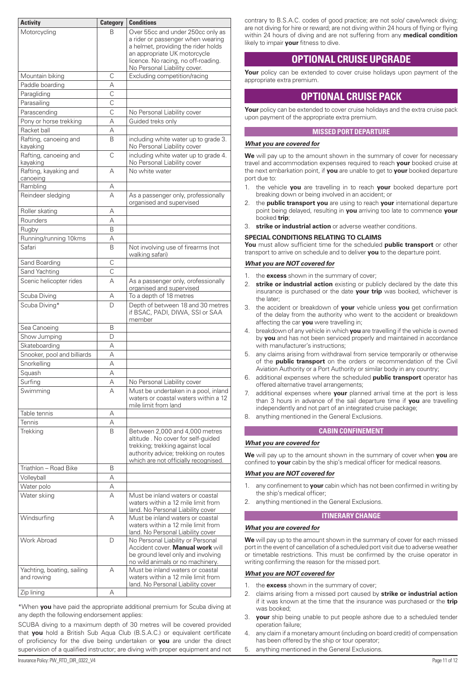| <b>Activity</b>                          | <b>Category</b> | <b>Conditions</b>                                                                                                                                                                        |
|------------------------------------------|-----------------|------------------------------------------------------------------------------------------------------------------------------------------------------------------------------------------|
| Motorcycling                             | В               | Over 55cc and under 250cc only as                                                                                                                                                        |
|                                          |                 | a rider or passenger when wearing                                                                                                                                                        |
|                                          |                 | a helmet, providing the rider holds<br>an appropriate UK motorcycle                                                                                                                      |
|                                          |                 | licence. No racing, no off-roading.                                                                                                                                                      |
|                                          |                 | No Personal Liability cover.                                                                                                                                                             |
| Mountain biking                          | C               | Excluding competition/racing                                                                                                                                                             |
| Paddle boarding                          | Α               |                                                                                                                                                                                          |
| Paragliding                              | C               |                                                                                                                                                                                          |
| Parasailing                              | C               |                                                                                                                                                                                          |
| Parascending                             | C               | No Personal Liability cover                                                                                                                                                              |
| Pony or horse trekking                   | А               | Guided treks only                                                                                                                                                                        |
| Racket ball                              | А               |                                                                                                                                                                                          |
| Rafting, canoeing and<br>kayaking        | B               | including white water up to grade 3.<br>No Personal Liability cover                                                                                                                      |
| Rafting, canoeing and<br>kayaking        | C               | including white water up to grade 4.<br>No Personal Liability cover                                                                                                                      |
| Rafting, kayaking and                    | А               | No white water                                                                                                                                                                           |
| canoeing<br>Rambling                     | Α               |                                                                                                                                                                                          |
| Reindeer sledging                        | А               | As a passenger only, professionally                                                                                                                                                      |
|                                          |                 | organised and supervised                                                                                                                                                                 |
| Roller skating                           | А               |                                                                                                                                                                                          |
| Rounders                                 | А               |                                                                                                                                                                                          |
| Rugby                                    | B               |                                                                                                                                                                                          |
| Running/running 10kms                    | А               |                                                                                                                                                                                          |
| Safari                                   | B               | Not involving use of firearms (not<br>walking safari)                                                                                                                                    |
| Sand Boarding                            | C               |                                                                                                                                                                                          |
| Sand Yachting                            | C               |                                                                                                                                                                                          |
| Scenic helicopter rides                  | А               | As a passenger only, orofessionally<br>organised and supervised                                                                                                                          |
| Scuba Diving                             | Α               | To a depth of 18 metres                                                                                                                                                                  |
| Scuba Diving*                            | D               | Depth of between 18 and 30 metres<br>if BSAC, PADI, DIWA, SSI or SAA<br>member                                                                                                           |
| Sea Canoeing                             | B               |                                                                                                                                                                                          |
| Show Jumping                             | D               |                                                                                                                                                                                          |
| Skateboarding                            | А               |                                                                                                                                                                                          |
| Snooker, pool and billiards              | А               |                                                                                                                                                                                          |
| Snorkelling                              | А               |                                                                                                                                                                                          |
| Squash                                   | Α               |                                                                                                                                                                                          |
| Surfing                                  | Α               | No Personal Liability cover                                                                                                                                                              |
| Swimming                                 | А               | Must be undertaken in a pool, inland<br>waters or coastal waters within a 12<br>mile limit from land                                                                                     |
| Table tennis                             | Α               |                                                                                                                                                                                          |
| Tennis                                   | А               |                                                                                                                                                                                          |
| Trekking                                 | B               | Between 2,000 and 4,000 metres<br>altitude. No cover for self-guided<br>trekking; trekking against local<br>authority advice; trekking on routes<br>which are not officially recognised. |
| Triathlon - Road Bike                    | B               |                                                                                                                                                                                          |
| Volleyball                               | А               |                                                                                                                                                                                          |
| Water polo                               | А               |                                                                                                                                                                                          |
| Water skiing                             | А               | Must be inland waters or coastal                                                                                                                                                         |
|                                          |                 | waters within a 12 mile limit from<br>land. No Personal Liability cover                                                                                                                  |
| Windsurfing                              | А               | Must be inland waters or coastal<br>waters within a 12 mile limit from<br>land. No Personal Liability cover                                                                              |
| <b>Work Abroad</b>                       | D               | No Personal Liability or Personal<br>Accident cover. Manual work will<br>be ground level only and involving                                                                              |
| Yachting, boating, sailing<br>and rowing | А               | no wild animals or no machinery.<br>Must be inland waters or coastal<br>waters within a 12 mile limit from<br>land. No Personal Liability cover                                          |
| Zip lining                               | А               |                                                                                                                                                                                          |

\*When **you** have paid the appropriate additional premium for Scuba diving at any depth the following endorsement applies:

SCUBA diving to a maximum depth of 30 metres will be covered provided that **you** hold a British Sub Aqua Club (B.S.A.C.) or equivalent certificate of proficiency for the dive being undertaken or **you** are under the direct supervision of a qualified instructor; are diving with proper equipment and not

contrary to B.S.A.C. codes of good practice; are not solo/ cave/wreck diving; are not diving for hire or reward; are not diving within 24 hours of flying or flying within 24 hours of diving and are not suffering from any **medical condition** likely to impair **your** fitness to dive.

# **OPTIONAL CRUISE UPGRADE**

**Your** policy can be extended to cover cruise holidays upon payment of the appropriate extra premium.

# **OPTIONAL CRUISE PACK**

**Your** policy can be extended to cover cruise holidays and the extra cruise pack upon payment of the appropriate extra premium.

## **MISSED PORT DEPARTURE**

## *What you are covered for*

**We** will pay up to the amount shown in the summary of cover for necessary travel and accommodation expenses required to reach **your** booked cruise at the next embarkation point, if **you** are unable to get to **your** booked departure port due to:

- 1. the vehicle **you** are travelling in to reach **your** booked departure port breaking down or being involved in an accident; or
- 2. the **public transport you** are using to reach **your** international departure point being delayed, resulting in **you** arriving too late to commence **your** booked **trip**;
- 3. **strike or industrial action** or adverse weather conditions.

#### **SPECIAL CONDITIONS RELATING TO CLAIMS**

**You** must allow sufficient time for the scheduled **public transport** or other transport to arrive on schedule and to deliver **you** to the departure point.

#### *What you are NOT covered for*

- 1. the **excess** shown in the summary of cover;
- 2. **strike or industrial action** existing or publicly declared by the date this insurance is purchased or the date **your trip** was booked, whichever is the later;
- 3. the accident or breakdown of **your** vehicle unless **you** get confirmation of the delay from the authority who went to the accident or breakdown affecting the car **you** were travelling in;
- 4. breakdown of any vehicle in which **you** are travelling if the vehicle is owned by **you** and has not been serviced properly and maintained in accordance with manufacturer's instructions;
- 5. any claims arising from withdrawal from service temporarily or otherwise of the **public transport** on the orders or recommendation of the Civil Aviation Authority or a Port Authority or similar body in any country;
- 6. additional expenses where the scheduled **public transport** operator has offered alternative travel arrangements;
- 7. additional expenses where **your** planned arrival time at the port is less than 3 hours in advance of the sail departure time if **you** are travelling independently and not part of an integrated cruise package;
- 8. anything mentioned in the General Exclusions.

## **CABIN CONFINEMENT**

#### *What you are covered for*

**We** will pay up to the amount shown in the summary of cover when **you** are confined to **your** cabin by the ship's medical officer for medical reasons.

#### *What you are NOT covered for*

- 1. any confinement to **your** cabin which has not been confirmed in writing by the ship's medical officer;
- 2. anything mentioned in the General Exclusions.

## **ITINERARY CHANGE**

### *What you are covered for*

**We** will pay up to the amount shown in the summary of cover for each missed port in the event of cancellation of a scheduled port visit due to adverse weather or timetable restrictions. This must be confirmed by the cruise operator in writing confirming the reason for the missed port.

#### *What you are NOT covered for*

- 1. the **excess** shown in the summary of cover;
- 2. claims arising from a missed port caused by **strike or industrial action** if it was known at the time that the insurance was purchased or the **trip** was booked;
- 3. **your** ship being unable to put people ashore due to a scheduled tender operation failure;
- 4. any claim if a monetary amount (including on board credit) of compensation has been offered by the ship or tour operator;
- 5. anything mentioned in the General Exclusions.